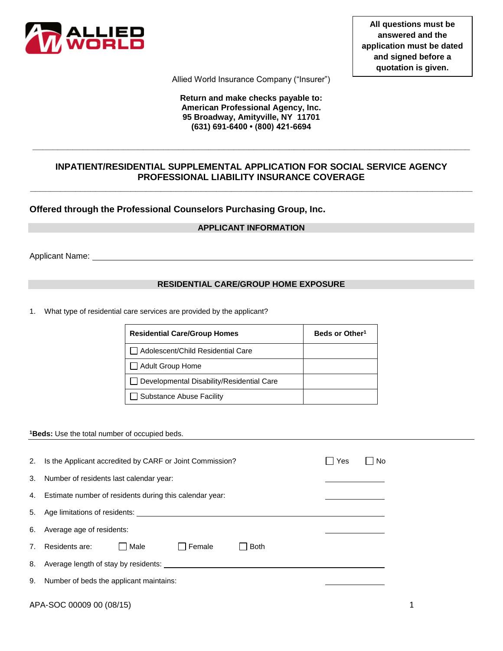

**All questions must be answered and the application must be dated and signed before a quotation is given.**

Allied World Insurance Company ("Insurer")

**Return and make checks payable to: American Professional Agency, Inc. 95 Broadway, Amityville, NY 11701 (631) 691-6400 • (800) 421-6694**

# **INPATIENT/RESIDENTIAL SUPPLEMENTAL APPLICATION FOR SOCIAL SERVICE AGENCY PROFESSIONAL LIABILITY INSURANCE COVERAGE**

**\_\_\_\_\_\_\_\_\_\_\_\_\_\_\_\_\_\_\_\_\_\_\_\_\_\_\_\_\_\_\_\_\_\_\_\_\_\_\_\_\_\_\_\_\_\_\_\_\_\_\_\_\_\_\_\_\_\_\_\_\_\_\_\_\_\_\_\_\_\_\_\_\_\_\_\_\_\_\_\_\_\_\_\_\_\_\_\_**

**\_\_\_\_\_\_\_\_\_\_\_\_\_\_\_\_\_\_\_\_\_\_\_\_\_\_\_\_\_\_\_\_\_\_\_\_\_\_\_\_\_\_\_\_\_\_\_\_\_\_\_\_\_\_\_\_\_\_\_\_\_\_\_\_\_\_\_\_\_\_\_\_\_\_\_\_\_\_\_\_\_\_\_\_\_\_\_**

**Offered through the Professional Counselors Purchasing Group, Inc.**

# **APPLICANT INFORMATION**

Applicant Name:

### **RESIDENTIAL CARE/GROUP HOME EXPOSURE**

1. What type of residential care services are provided by the applicant?

| <b>Residential Care/Group Homes</b>       | Beds or Other <sup>1</sup> |
|-------------------------------------------|----------------------------|
| Adolescent/Child Residential Care         |                            |
| Adult Group Home                          |                            |
| Developmental Disability/Residential Care |                            |
| Substance Abuse Facility                  |                            |

#### **<sup>1</sup>Beds:** Use the total number of occupied beds.

| 2. | Is the Applicant accredited by CARF or Joint Commission?                                                                                                                                                                      | Yes<br>– I No |  |
|----|-------------------------------------------------------------------------------------------------------------------------------------------------------------------------------------------------------------------------------|---------------|--|
| 3. | Number of residents last calendar year:                                                                                                                                                                                       |               |  |
|    | 4. Estimate number of residents during this calendar year:                                                                                                                                                                    |               |  |
|    |                                                                                                                                                                                                                               |               |  |
|    | 6. Average age of residents:                                                                                                                                                                                                  |               |  |
| 7. | Residents are:<br><b>□ Male</b><br>  Female<br>l Both                                                                                                                                                                         |               |  |
|    | 8. Average length of stay by residents: Next and the state of the state of the state of the state of the state of the state of the state of the state of the state of the state of the state of the state of the state of the |               |  |
|    | 9. Number of beds the applicant maintains:                                                                                                                                                                                    |               |  |
|    | APA-SOC 00009 00 (08/15)                                                                                                                                                                                                      |               |  |